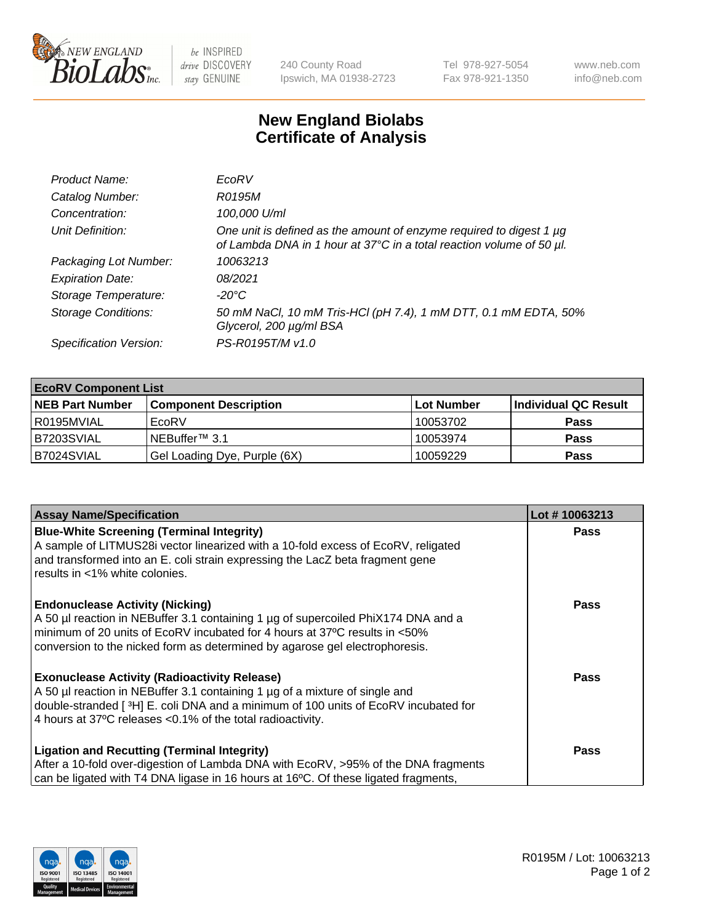

be INSPIRED drive DISCOVERY stay GENUINE

240 County Road Ipswich, MA 01938-2723 Tel 978-927-5054 Fax 978-921-1350 www.neb.com info@neb.com

## **New England Biolabs Certificate of Analysis**

| Product Name:              | EcoRV                                                                                                                                       |
|----------------------------|---------------------------------------------------------------------------------------------------------------------------------------------|
| Catalog Number:            | R0195M                                                                                                                                      |
| Concentration:             | 100,000 U/ml                                                                                                                                |
| Unit Definition:           | One unit is defined as the amount of enzyme required to digest 1 µg<br>of Lambda DNA in 1 hour at 37°C in a total reaction volume of 50 µl. |
| Packaging Lot Number:      | 10063213                                                                                                                                    |
| <b>Expiration Date:</b>    | 08/2021                                                                                                                                     |
| Storage Temperature:       | -20°C                                                                                                                                       |
| <b>Storage Conditions:</b> | 50 mM NaCl, 10 mM Tris-HCl (pH 7.4), 1 mM DTT, 0.1 mM EDTA, 50%<br>Glycerol, 200 µg/ml BSA                                                  |
| Specification Version:     | PS-R0195T/M v1.0                                                                                                                            |

| <b>EcoRV Component List</b> |                              |            |                      |  |  |
|-----------------------------|------------------------------|------------|----------------------|--|--|
| <b>NEB Part Number</b>      | <b>Component Description</b> | Lot Number | Individual QC Result |  |  |
| R0195MVIAL                  | EcoRV                        | 10053702   | <b>Pass</b>          |  |  |
| B7203SVIAL                  | INEBuffer™ 3.1               | 10053974   | <b>Pass</b>          |  |  |
| B7024SVIAL                  | Gel Loading Dye, Purple (6X) | 10059229   | <b>Pass</b>          |  |  |

| <b>Assay Name/Specification</b>                                                                                                                                 | Lot #10063213 |
|-----------------------------------------------------------------------------------------------------------------------------------------------------------------|---------------|
| <b>Blue-White Screening (Terminal Integrity)</b><br>A sample of LITMUS28i vector linearized with a 10-fold excess of EcoRV, religated                           | <b>Pass</b>   |
| and transformed into an E. coli strain expressing the LacZ beta fragment gene<br>results in <1% white colonies.                                                 |               |
| <b>Endonuclease Activity (Nicking)</b>                                                                                                                          | Pass          |
| A 50 µl reaction in NEBuffer 3.1 containing 1 µg of supercoiled PhiX174 DNA and a<br>minimum of 20 units of EcoRV incubated for 4 hours at 37°C results in <50% |               |
| conversion to the nicked form as determined by agarose gel electrophoresis.                                                                                     |               |
| <b>Exonuclease Activity (Radioactivity Release)</b>                                                                                                             | Pass          |
| A 50 µl reaction in NEBuffer 3.1 containing 1 µg of a mixture of single and                                                                                     |               |
| double-stranded [ <sup>3</sup> H] E. coli DNA and a minimum of 100 units of EcoRV incubated for<br>4 hours at 37°C releases < 0.1% of the total radioactivity.  |               |
|                                                                                                                                                                 |               |
| <b>Ligation and Recutting (Terminal Integrity)</b>                                                                                                              | <b>Pass</b>   |
| After a 10-fold over-digestion of Lambda DNA with EcoRV, >95% of the DNA fragments                                                                              |               |
| can be ligated with T4 DNA ligase in 16 hours at 16 $\degree$ C. Of these ligated fragments,                                                                    |               |